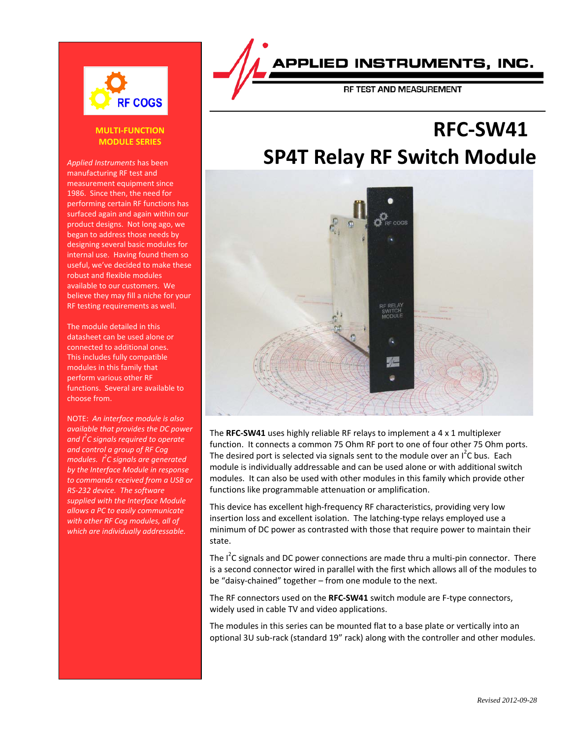

#### **MULTI-FUNCTION MODULE SERIES**

*Applied Instruments* has been manufacturing RF test and measurement equipment since 1986. Since then, the need for performing certain RF functions has surfaced again and again within our product designs. Not long ago, we began to address those needs by designing several basic modules for internal use. Having found them so useful, we've decided to make these robust and flexible modules available to our customers. We believe they may fill a niche for your RF testing requirements as well.

The module detailed in this datasheet can be used alone or connected to additional ones. This includes fully compatible modules in this family that perform various other RF functions. Several are available to choose from.

NOTE: *An interface module is also available that provides the DC power and I<sup>2</sup> C signals required to operate and control a group of RF Cog modules. I<sup>2</sup> C signals are generated by the Interface Module in response to commands received from a USB or RS-232 device. The software supplied with the Interface Module allows a PC to easily communicate with other RF Cog modules, all of which are individually addressable.*

## APPLIED INSTRUMENTS. INC.

# **RFC-SW41 SP4T Relay RF Switch Module**



The **RFC-SW41** uses highly reliable RF relays to implement a 4 x 1 multiplexer function. It connects a common 75 Ohm RF port to one of four other 75 Ohm ports. The desired port is selected via signals sent to the module over an  $I^2C$  bus. Each module is individually addressable and can be used alone or with additional switch modules. It can also be used with other modules in this family which provide other functions like programmable attenuation or amplification.

This device has excellent high-frequency RF characteristics, providing very low insertion loss and excellent isolation. The latching-type relays employed use a minimum of DC power as contrasted with those that require power to maintain their state.

The I<sup>2</sup>C signals and DC power connections are made thru a multi-pin connector. There is a second connector wired in parallel with the first which allows all of the modules to be "daisy-chained" together – from one module to the next.

The RF connectors used on the **RFC-SW41** switch module are F-type connectors, widely used in cable TV and video applications.

The modules in this series can be mounted flat to a base plate or vertically into an optional 3U sub-rack (standard 19" rack) along with the controller and other modules.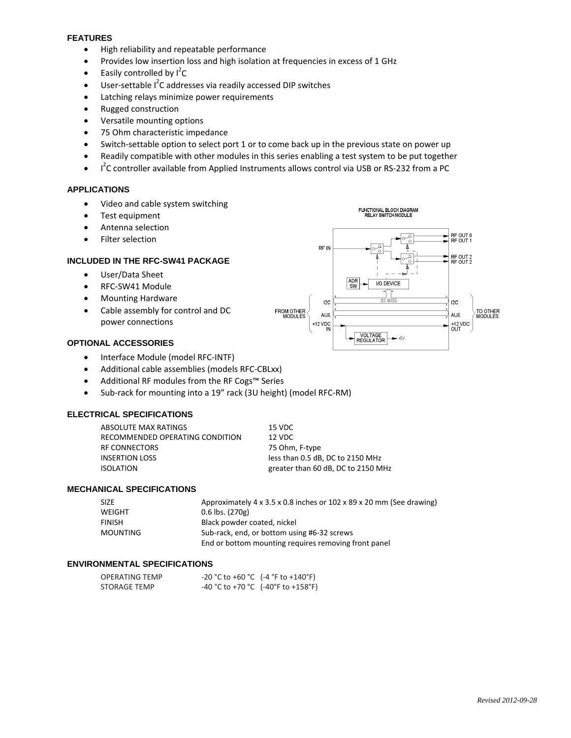#### **FEATURES**

- High reliability and repeatable performance
- Provides low insertion loss and high isolation at frequencies in excess of 1 GHz
- Easily controlled by  $I^2C$
- User-settable I<sup>2</sup>C addresses via readily accessed DIP switches
- Latching relays minimize power requirements
- Rugged construction
- Versatile mounting options
- 75 Ohm characteristic impedance
- Switch-settable option to select port 1 or to come back up in the previous state on power up
- Readily compatible with other modules in this series enabling a test system to be put together
- $\bullet$  $2$ C controller available from Applied Instruments allows control via USB or RS-232 from a PC

#### **APPLICATIONS**

- Video and cable system switching
- Test equipment
- Antenna selection
- Filter selection

#### **INCLUDED IN THE RFC-SW41 PACKAGE**

- User/Data Sheet
- RFC-SW41 Module
- Mounting Hardware
- Cable assembly for control and DC power connections



#### **OPTIONAL ACCESSORIES**

- Interface Module (model RFC-INTF)
- Additional cable assemblies (models RFC-CBLxx)
- Additional RF modules from the RF Cogs™ Series
- Sub-rack for mounting into a 19" rack (3U height) (model RFC-RM)

#### **ELECTRICAL SPECIFICATIONS**

| ABSOLUTE MAX RATINGS            | 15 VDC                             |
|---------------------------------|------------------------------------|
| RECOMMENDED OPERATING CONDITION | 12 VDC                             |
| RF CONNECTORS                   | 75 Ohm, F-type                     |
| INSERTION LOSS                  | less than 0.5 dB, DC to 2150 MHz   |
| ISOLATION                       | greater than 60 dB, DC to 2150 MHz |
|                                 |                                    |

#### **MECHANICAL SPECIFICATIONS**

| SIZE          | Approximately 4 x 3.5 x 0.8 inches or 102 x 89 x 20 mm (See drawing) |
|---------------|----------------------------------------------------------------------|
| WEIGHT        | $0.6$ lbs. (270g)                                                    |
| <b>FINISH</b> | Black powder coated, nickel                                          |
| MOUNTING      | Sub-rack, end, or bottom using #6-32 screws                          |
|               | End or bottom mounting requires removing front panel                 |

#### **ENVIRONMENTAL SPECIFICATIONS**

| <b>OPERATING TEMP</b> | $-20 °C$ to $+60 °C$ ( $-4 °F$ to $+140 °F$ )  |
|-----------------------|------------------------------------------------|
| STORAGE TEMP          | $-40 °C$ to $+70 °C$ ( $-40 °F$ to $+158 °F$ ) |